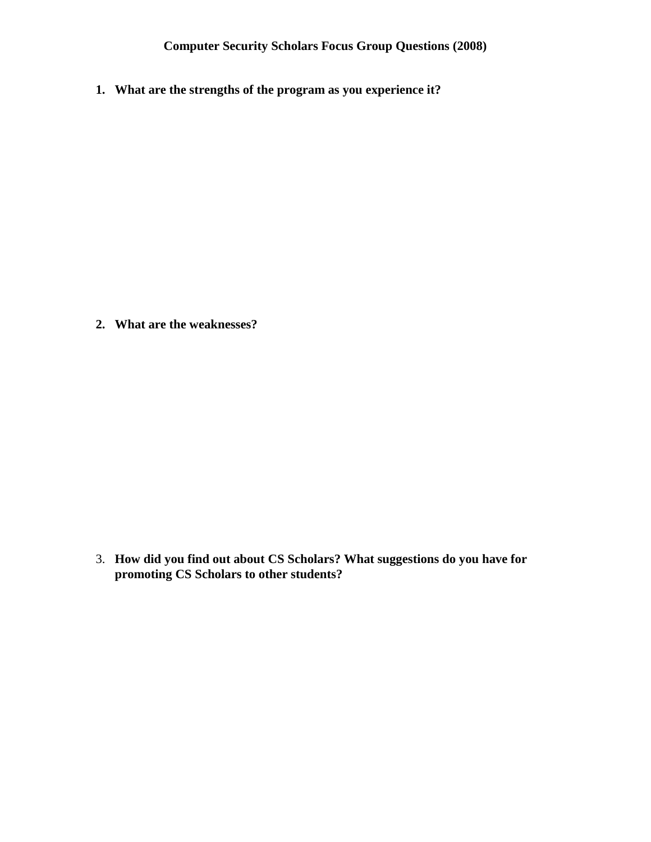**1. What are the strengths of the program as you experience it?**

**2. What are the weaknesses?**

3. **How did you find out about CS Scholars? What suggestions do you have for promoting CS Scholars to other students?**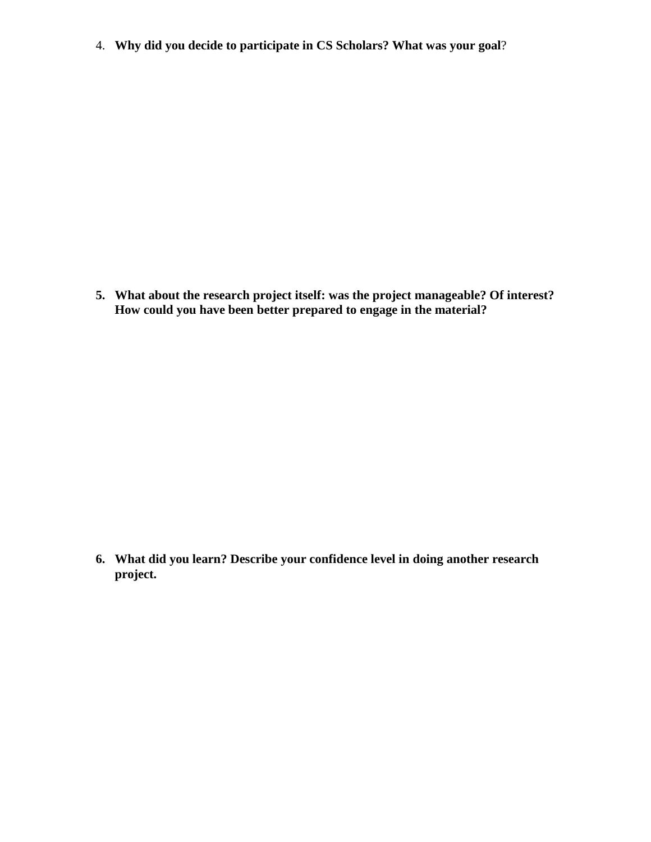4. **Why did you decide to participate in CS Scholars? What was your goal**?

**5. What about the research project itself: was the project manageable? Of interest? How could you have been better prepared to engage in the material?** 

**6. What did you learn? Describe your confidence level in doing another research project.**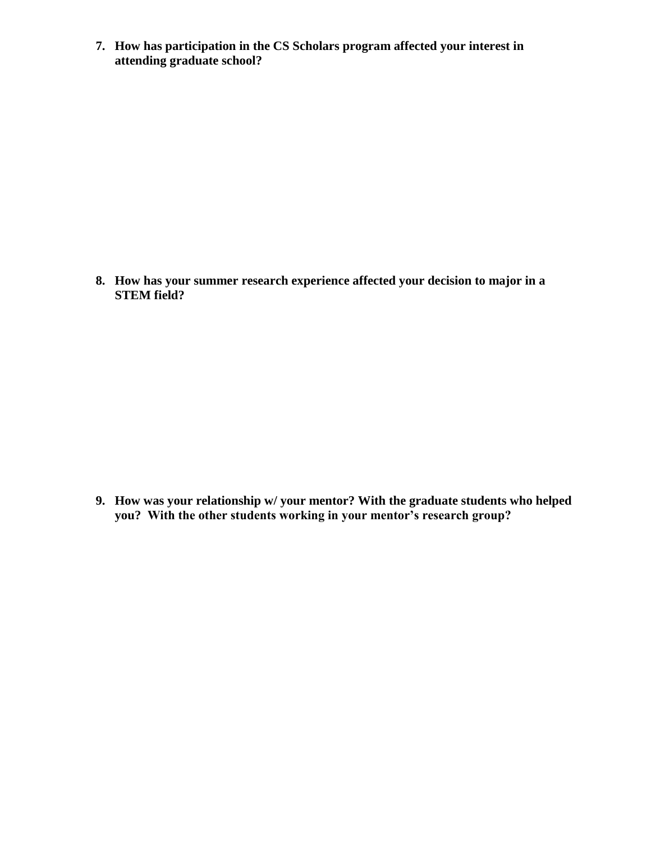**7. How has participation in the CS Scholars program affected your interest in attending graduate school?** 

**8. How has your summer research experience affected your decision to major in a STEM field?**

**9. How was your relationship w/ your mentor? With the graduate students who helped you? With the other students working in your mentor's research group?**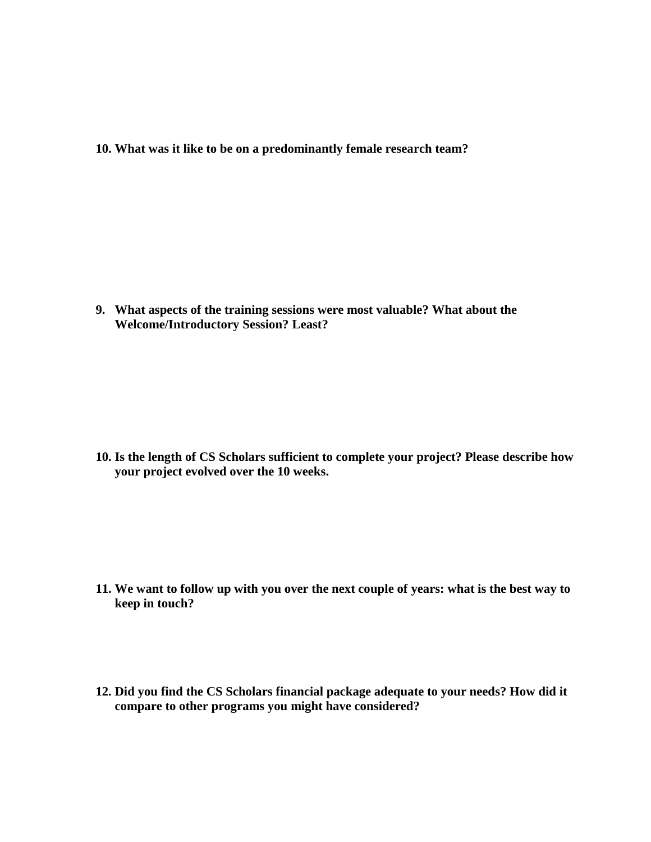**10. What was it like to be on a predominantly female research team?**

**9. What aspects of the training sessions were most valuable? What about the Welcome/Introductory Session? Least?**

**10. Is the length of CS Scholars sufficient to complete your project? Please describe how your project evolved over the 10 weeks.** 

- **11. We want to follow up with you over the next couple of years: what is the best way to keep in touch?**
- **12. Did you find the CS Scholars financial package adequate to your needs? How did it compare to other programs you might have considered?**